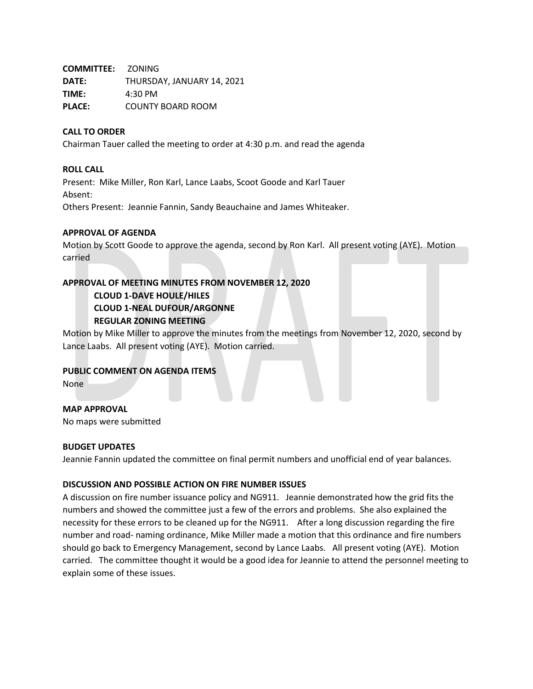**COMMITTEE:** ZONING **DATE:** THURSDAY, JANUARY 14, 2021 **TIME:** 4:30 PM **PLACE:** COUNTY BOARD ROOM

## **CALL TO ORDER**

Chairman Tauer called the meeting to order at 4:30 p.m. and read the agenda

## **ROLL CALL**

Present: Mike Miller, Ron Karl, Lance Laabs, Scoot Goode and Karl Tauer Absent: Others Present: Jeannie Fannin, Sandy Beauchaine and James Whiteaker.

## **APPROVAL OF AGENDA**

Motion by Scott Goode to approve the agenda, second by Ron Karl. All present voting (AYE). Motion carried

## **APPROVAL OF MEETING MINUTES FROM NOVEMBER 12, 2020**

**CLOUD 1-DAVE HOULE/HILES CLOUD 1-NEAL DUFOUR/ARGONNE REGULAR ZONING MEETING**

Motion by Mike Miller to approve the minutes from the meetings from November 12, 2020, second by Lance Laabs. All present voting (AYE). Motion carried.

# **PUBLIC COMMENT ON AGENDA ITEMS**

None

**MAP APPROVAL** No maps were submitted

#### **BUDGET UPDATES**

Jeannie Fannin updated the committee on final permit numbers and unofficial end of year balances.

#### **DISCUSSION AND POSSIBLE ACTION ON FIRE NUMBER ISSUES**

A discussion on fire number issuance policy and NG911. Jeannie demonstrated how the grid fits the numbers and showed the committee just a few of the errors and problems. She also explained the necessity for these errors to be cleaned up for the NG911. After a long discussion regarding the fire number and road- naming ordinance, Mike Miller made a motion that this ordinance and fire numbers should go back to Emergency Management, second by Lance Laabs. All present voting (AYE). Motion carried. The committee thought it would be a good idea for Jeannie to attend the personnel meeting to explain some of these issues.